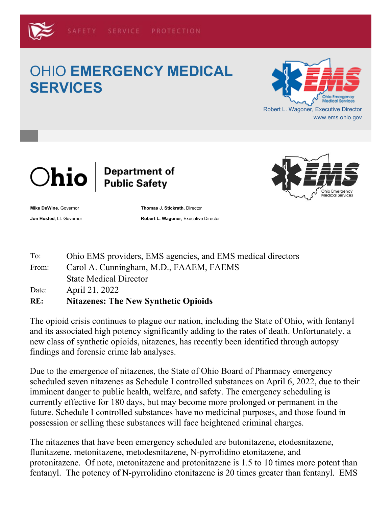## OHIO **EMERGENCY MEDICAL SERVICES**





## Department of<br>Public Safety



**Mike DeWine**, Governor **Thomas J. Stickrath**, Director

**Jon Husted**, Lt. Governor **Robert L. Wagoner**, Executive Director

| Ohio EMS providers, EMS agencies, and EMS medical directors |
|-------------------------------------------------------------|
|                                                             |

The opioid crisis continues to plague our nation, including the State of Ohio, with fentanyl and its associated high potency significantly adding to the rates of death. Unfortunately, a new class of synthetic opioids, nitazenes, has recently been identified through autopsy findings and forensic crime lab analyses.

Due to the emergence of nitazenes, the State of Ohio Board of Pharmacy emergency scheduled seven nitazenes as Schedule I controlled substances on April 6, 2022, due to their imminent danger to public health, welfare, and safety. The emergency scheduling is currently effective for 180 days, but may become more prolonged or permanent in the future. Schedule I controlled substances have no medicinal purposes, and those found in possession or selling these substances will face heightened criminal charges.

The nitazenes that have been emergency scheduled are butonitazene, etodesnitazene, flunitazene, metonitazene, metodesnitazene, N-pyrrolidino etonitazene, and protonitazene. Of note, metonitazene and protonitazene is 1.5 to 10 times more potent than fentanyl. The potency of N-pyrrolidino etonitazene is 20 times greater than fentanyl. EMS